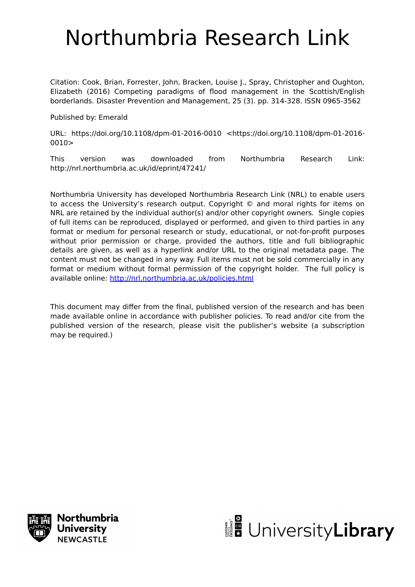# Northumbria Research Link

Citation: Cook, Brian, Forrester, John, Bracken, Louise J., Spray, Christopher and Oughton, Elizabeth (2016) Competing paradigms of flood management in the Scottish/English borderlands. Disaster Prevention and Management, 25 (3). pp. 314-328. ISSN 0965-3562

Published by: Emerald

URL: https://doi.org/10.1108/dpm-01-2016-0010 <https://doi.org/10.1108/dpm-01-2016-  $0010$ 

This version was downloaded from Northumbria Research Link: http://nrl.northumbria.ac.uk/id/eprint/47241/

Northumbria University has developed Northumbria Research Link (NRL) to enable users to access the University's research output. Copyright © and moral rights for items on NRL are retained by the individual author(s) and/or other copyright owners. Single copies of full items can be reproduced, displayed or performed, and given to third parties in any format or medium for personal research or study, educational, or not-for-profit purposes without prior permission or charge, provided the authors, title and full bibliographic details are given, as well as a hyperlink and/or URL to the original metadata page. The content must not be changed in any way. Full items must not be sold commercially in any format or medium without formal permission of the copyright holder. The full policy is available online:<http://nrl.northumbria.ac.uk/policies.html>

This document may differ from the final, published version of the research and has been made available online in accordance with publisher policies. To read and/or cite from the published version of the research, please visit the publisher's website (a subscription may be required.)



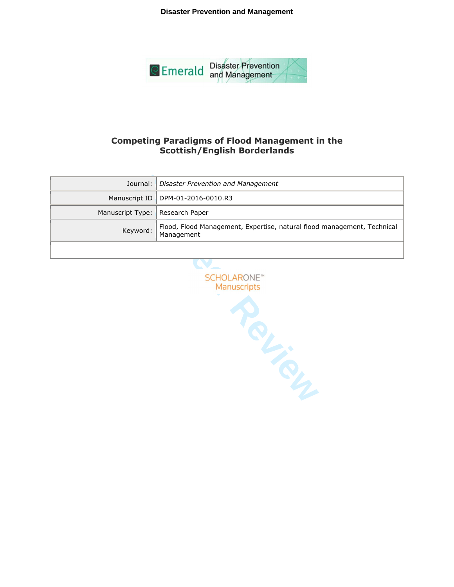**Disaster Prevention and Management**



# **Competing Paradigms of Flood Management in the Scottish/English Borderlands**

|                                   | Journal: Disaster Prevention and Management                                           |
|-----------------------------------|---------------------------------------------------------------------------------------|
|                                   | Manuscript ID   DPM-01-2016-0010.R3                                                   |
| Manuscript Type:   Research Paper |                                                                                       |
| Keyword:                          | Flood, Flood Management, Expertise, natural flood management, Technical<br>Management |
|                                   |                                                                                       |

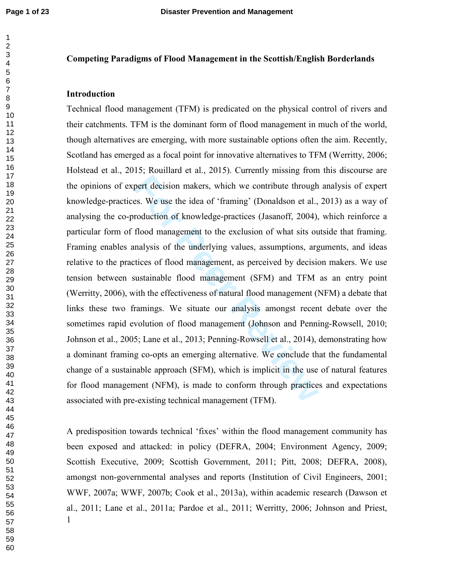# **Competing Paradigms of Flood Management in the Scottish/English Borderlands**

### **Introduction**

pert decision makers, which we contribute through<br>es. We use the idea of 'framing' (Donaldson et al.,<br>roduction of knowledge-practices (Jasanoff, 2004),<br>flood management to the exclusion of what sits ou<br>nalysis of the unde Technical flood management (TFM) is predicated on the physical control of rivers and their catchments. TFM is the dominant form of flood management in much of the world, though alternatives are emerging, with more sustainable options often the aim. Recently, Scotland has emerged as a focal point for innovative alternatives to TFM (Werritty, 2006; Holstead et al., 2015; Rouillard et al., 2015). Currently missing from this discourse are the opinions of expert decision makers, which we contribute through analysis of expert knowledge-practices. We use the idea of 'framing' (Donaldson et al., 2013) as a way of analysing the co-production of knowledge-practices (Jasanoff, 2004), which reinforce a particular form of flood management to the exclusion of what sits outside that framing. Framing enables analysis of the underlying values, assumptions, arguments, and ideas relative to the practices of flood management, as perceived by decision makers. We use tension between sustainable flood management (SFM) and TFM as an entry point (Werritty, 2006), with the effectiveness of natural flood management (NFM) a debate that links these two framings. We situate our analysis amongst recent debate over the sometimes rapid evolution of flood management (Johnson and Penning-Rowsell, 2010; Johnson et al., 2005; Lane et al., 2013; Penning-Rowsell et al., 2014), demonstrating how a dominant framing co-opts an emerging alternative. We conclude that the fundamental change of a sustainable approach (SFM), which is implicit in the use of natural features for flood management (NFM), is made to conform through practices and expectations associated with pre-existing technical management (TFM).

 A predisposition towards technical 'fixes' within the flood management community has been exposed and attacked: in policy (DEFRA, 2004; Environment Agency, 2009; Scottish Executive, 2009; Scottish Government, 2011; Pitt, 2008; DEFRA, 2008), amongst non-governmental analyses and reports (Institution of Civil Engineers, 2001; WWF, 2007a; WWF, 2007b; Cook et al., 2013a), within academic research (Dawson et al., 2011; Lane et al., 2011a; Pardoe et al., 2011; Werritty, 2006; Johnson and Priest,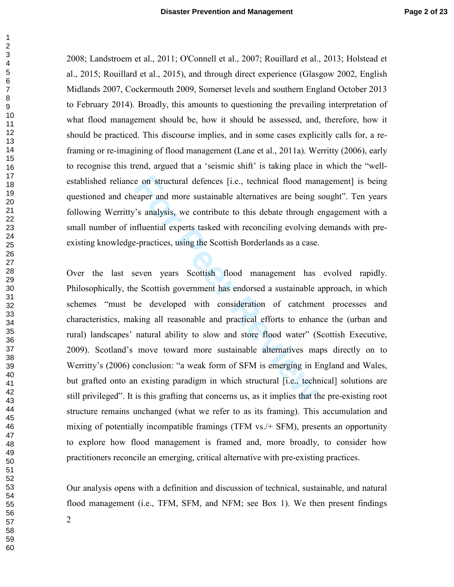2008; Landstroem et al., 2011; O'Connell et al., 2007; Rouillard et al., 2013; Holstead et al., 2015; Rouillard et al., 2015), and through direct experience (Glasgow 2002, English Midlands 2007, Cockermouth 2009, Somerset levels and southern England October 2013 to February 2014). Broadly, this amounts to questioning the prevailing interpretation of what flood management should be, how it should be assessed, and, therefore, how it should be practiced. This discourse implies, and in some cases explicitly calls for, a reframing or re-imagining of flood management (Lane et al., 2011a). Werritty (2006), early to recognise this trend, argued that a 'seismic shift' is taking place in which the "wellestablished reliance on structural defences [i.e., technical flood management] is being questioned and cheaper and more sustainable alternatives are being sought". Ten years following Werritty's analysis, we contribute to this debate through engagement with a small number of influential experts tasked with reconciling evolving demands with preexisting knowledge-practices, using the Scottish Borderlands as a case.

e on structural defences [i.e., technical flood man<br>eaper and more sustainable alternatives are being s<br><sup>2</sup>'s analysis, we contribute to this debate through e<br>fluential experts tasked with reconciling evolving<br>e-practices, Over the last seven years Scottish flood management has evolved rapidly. Philosophically, the Scottish government has endorsed a sustainable approach, in which schemes "must be developed with consideration of catchment processes and characteristics, making all reasonable and practical efforts to enhance the (urban and rural) landscapes' natural ability to slow and store flood water" (Scottish Executive, 2009). Scotland's move toward more sustainable alternatives maps directly on to Werritty's (2006) conclusion: "a weak form of SFM is emerging in England and Wales, but grafted onto an existing paradigm in which structural [i.e., technical] solutions are still privileged". It is this grafting that concerns us, as it implies that the pre-existing root structure remains unchanged (what we refer to as its framing). This accumulation and mixing of potentially incompatible framings (TFM vs./+ SFM), presents an opportunity to explore how flood management is framed and, more broadly, to consider how practitioners reconcile an emerging, critical alternative with pre-existing practices.

Our analysis opens with a definition and discussion of technical, sustainable, and natural flood management (i.e., TFM, SFM, and NFM; see Box 1). We then present findings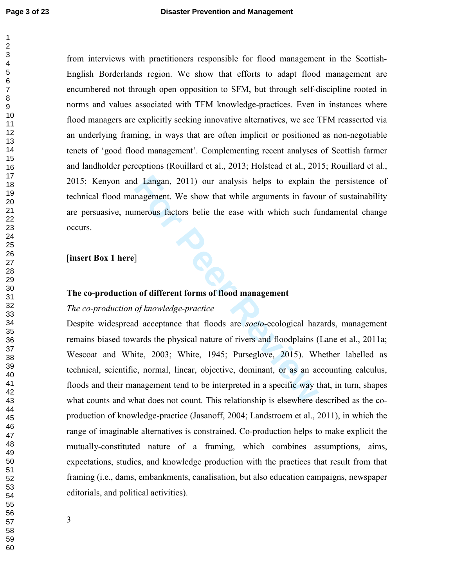from interviews with practitioners responsible for flood management in the Scottish-English Borderlands region. We show that efforts to adapt flood management are encumbered not through open opposition to SFM, but through self-discipline rooted in norms and values associated with TFM knowledge-practices. Even in instances where flood managers are explicitly seeking innovative alternatives, we see TFM reasserted via an underlying framing, in ways that are often implicit or positioned as non-negotiable tenets of 'good flood management'. Complementing recent analyses of Scottish farmer and landholder perceptions (Rouillard et al., 2013; Holstead et al., 2015; Rouillard et al., 2015; Kenyon and Langan, 2011) our analysis helps to explain the persistence of technical flood management. We show that while arguments in favour of sustainability are persuasive, numerous factors belie the ease with which such fundamental change occurs. [**insert Box 1 here**]

# **The co-production of different forms of flood management**

# *The co-production of knowledge-practice*

d Langan, 2011) our analysis helps to explain<br>magement. We show that while arguments in favor<br>merous factors belie the ease with which such ft<br>forecast according to the ease with which such ft<br>of thowledge-practice<br>d accep Despite widespread acceptance that floods are *socio*-ecological hazards, management remains biased towards the physical nature of rivers and floodplains (Lane et al., 2011a; Wescoat and White, 2003; White, 1945; Purseglove, 2015). Whether labelled as technical, scientific, normal, linear, objective, dominant, or as an accounting calculus, floods and their management tend to be interpreted in a specific way that, in turn, shapes what counts and what does not count. This relationship is elsewhere described as the coproduction of knowledge-practice (Jasanoff, 2004; Landstroem et al., 2011), in which the range of imaginable alternatives is constrained. Co-production helps to make explicit the mutually-constituted nature of a framing, which combines assumptions, aims, expectations, studies, and knowledge production with the practices that result from that framing (i.e., dams, embankments, canalisation, but also education campaigns, newspaper editorials, and political activities).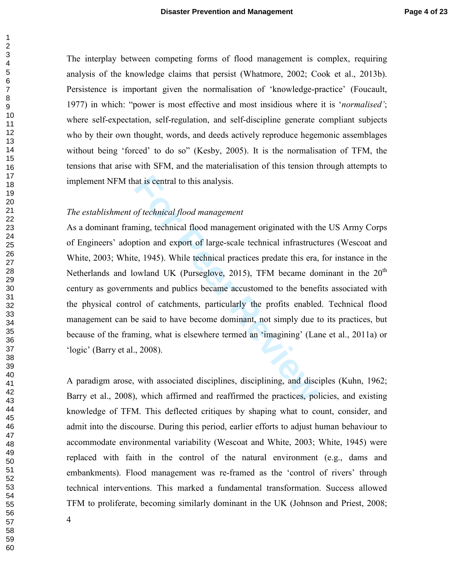The interplay between competing forms of flood management is complex, requiring analysis of the knowledge claims that persist (Whatmore, 2002; Cook et al., 2013b). Persistence is important given the normalisation of 'knowledge-practice' (Foucault, 1977) in which: "power is most effective and most insidious where it is '*normalised'*; where self-expectation, self-regulation, and self-discipline generate compliant subjects who by their own thought, words, and deeds actively reproduce hegemonic assemblages without being 'forced' to do so" (Kesby, 2005). It is the normalisation of TFM, the tensions that arise with SFM, and the materialisation of this tension through attempts to implement NFM that is central to this analysis.

# *The establishment of technical flood management*

at is central to this analysis.<br>
of technical flood management<br>
ming, technical flood management originated with the<br>
totion and export of large-scale technical infrastruct<br>
e, 1945). While technical practices predate this As a dominant framing, technical flood management originated with the US Army Corps of Engineers' adoption and export of large-scale technical infrastructures (Wescoat and White, 2003; White, 1945). While technical practices predate this era, for instance in the Netherlands and lowland UK (Purseglove, 2015), TFM became dominant in the  $20<sup>th</sup>$ century as governments and publics became accustomed to the benefits associated with the physical control of catchments, particularly the profits enabled. Technical flood management can be said to have become dominant, not simply due to its practices, but because of the framing, what is elsewhere termed an 'imagining' (Lane et al., 2011a) or 'logic' (Barry et al., 2008).

A paradigm arose, with associated disciplines, disciplining, and disciples (Kuhn, 1962; Barry et al., 2008), which affirmed and reaffirmed the practices, policies, and existing knowledge of TFM. This deflected critiques by shaping what to count, consider, and admit into the discourse. During this period, earlier efforts to adjust human behaviour to accommodate environmental variability (Wescoat and White, 2003; White, 1945) were replaced with faith in the control of the natural environment (e.g., dams and embankments). Flood management was re-framed as the 'control of rivers' through technical interventions. This marked a fundamental transformation. Success allowed TFM to proliferate, becoming similarly dominant in the UK (Johnson and Priest, 2008;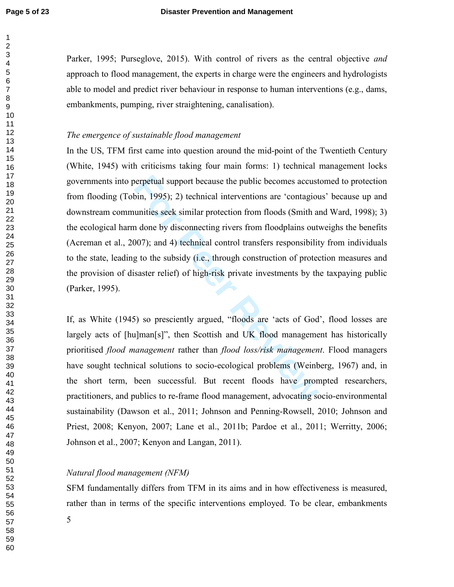Parker, 1995; Purseglove, 2015). With control of rivers as the central objective *and* approach to flood management, the experts in charge were the engineers and hydrologists able to model and predict river behaviour in response to human interventions (e.g., dams, embankments, pumping, river straightening, canalisation).

#### *The emergence of sustainable flood management*

berpetual support because the public becomes accust<br>bin, 1995); 2) technical interventions are 'contagiou<br>unities seek similar protection from floods (Smith a<br>1 done by disconnecting rivers from floodplains out<br>007); and 4 In the US, TFM first came into question around the mid-point of the Twentieth Century (White, 1945) with criticisms taking four main forms: 1) technical management locks governments into perpetual support because the public becomes accustomed to protection from flooding (Tobin, 1995); 2) technical interventions are 'contagious' because up and downstream communities seek similar protection from floods (Smith and Ward, 1998); 3) the ecological harm done by disconnecting rivers from floodplains outweighs the benefits (Acreman et al., 2007); and 4) technical control transfers responsibility from individuals to the state, leading to the subsidy (i.e., through construction of protection measures and the provision of disaster relief) of high-risk private investments by the taxpaying public (Parker, 1995).

If, as White (1945) so presciently argued, "floods are 'acts of God', flood losses are largely acts of [hu]man[s]", then Scottish and UK flood management has historically prioritised *flood management* rather than *flood loss/risk management*. Flood managers have sought technical solutions to socio-ecological problems (Weinberg, 1967) and, in the short term, been successful. But recent floods have prompted researchers, practitioners, and publics to re-frame flood management, advocating socio-environmental sustainability (Dawson et al., 2011; Johnson and Penning-Rowsell, 2010; Johnson and Priest, 2008; Kenyon, 2007; Lane et al., 2011b; Pardoe et al., 2011; Werritty, 2006; Johnson et al., 2007; Kenyon and Langan, 2011).

# *Natural flood management (NFM)*

SFM fundamentally differs from TFM in its aims and in how effectiveness is measured, rather than in terms of the specific interventions employed. To be clear, embankments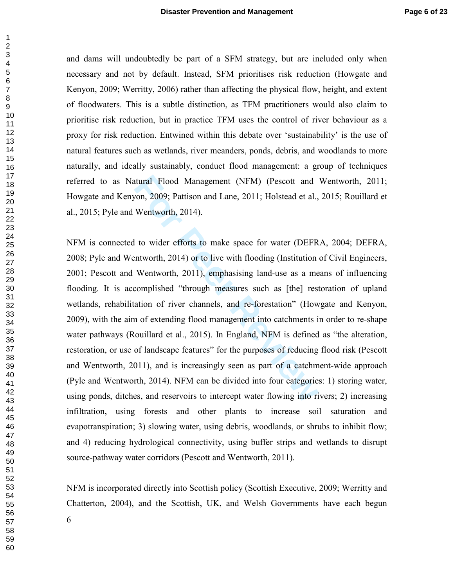and dams will undoubtedly be part of a SFM strategy, but are included only when necessary and not by default. Instead, SFM prioritises risk reduction (Howgate and Kenyon, 2009; Werritty, 2006) rather than affecting the physical flow, height, and extent of floodwaters. This is a subtle distinction, as TFM practitioners would also claim to prioritise risk reduction, but in practice TFM uses the control of river behaviour as a proxy for risk reduction. Entwined within this debate over 'sustainability' is the use of natural features such as wetlands, river meanders, ponds, debris, and woodlands to more naturally, and ideally sustainably, conduct flood management: a group of techniques referred to as Natural Flood Management (NFM) (Pescott and Wentworth, 2011; Howgate and Kenyon, 2009; Pattison and Lane, 2011; Holstead et al., 2015; Rouillard et al., 2015; Pyle and Wentworth, 2014).

row atter Flood Management (NFM) (Pescott and<br>
Form, 2009; Pattison and Lane, 2011; Holstead et al.,<br>
Wentworth, 2014).<br>
I to wider efforts to make space for water (DEFR<br>
mtworth, 2014) or to live with flooding (Institutio NFM is connected to wider efforts to make space for water (DEFRA, 2004; DEFRA, 2008; Pyle and Wentworth, 2014) or to live with flooding (Institution of Civil Engineers, 2001; Pescott and Wentworth, 2011), emphasising land-use as a means of influencing flooding. It is accomplished "through measures such as [the] restoration of upland wetlands, rehabilitation of river channels, and re-forestation" (Howgate and Kenyon, 2009), with the aim of extending flood management into catchments in order to re-shape water pathways (Rouillard et al., 2015). In England, NFM is defined as "the alteration, restoration, or use of landscape features" for the purposes of reducing flood risk (Pescott and Wentworth, 2011), and is increasingly seen as part of a catchment-wide approach (Pyle and Wentworth, 2014). NFM can be divided into four categories: 1) storing water, using ponds, ditches, and reservoirs to intercept water flowing into rivers; 2) increasing infiltration, using forests and other plants to increase soil saturation and evapotranspiration; 3) slowing water, using debris, woodlands, or shrubs to inhibit flow; and 4) reducing hydrological connectivity, using buffer strips and wetlands to disrupt source-pathway water corridors (Pescott and Wentworth, 2011).

NFM is incorporated directly into Scottish policy (Scottish Executive, 2009; Werritty and Chatterton, 2004), and the Scottish, UK, and Welsh Governments have each begun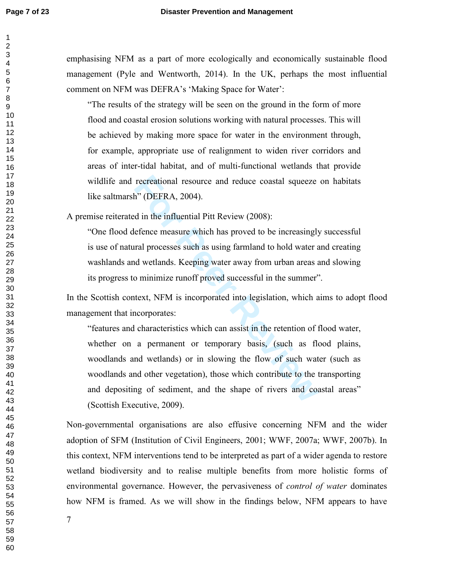emphasising NFM as a part of more ecologically and economically sustainable flood management (Pyle and Wentworth, 2014). In the UK, perhaps the most influential comment on NFM was DEFRA's 'Making Space for Water':

"The results of the strategy will be seen on the ground in the form of more flood and coastal erosion solutions working with natural processes. This will be achieved by making more space for water in the environment through, for example, appropriate use of realignment to widen river corridors and areas of inter-tidal habitat, and of multi-functional wetlands that provide wildlife and recreational resource and reduce coastal squeeze on habitats like saltmarsh" (DEFRA, 2004).

A premise reiterated in the influential Pitt Review (2008):

"One flood defence measure which has proved to be increasingly successful is use of natural processes such as using farmland to hold water and creating washlands and wetlands. Keeping water away from urban areas and slowing its progress to minimize runoff proved successful in the summer".

In the Scottish context, NFM is incorporated into legislation, which aims to adopt flood management that incorporates:

recreational resource and reduce coastal squeeze<br>h'' (DEFRA, 2004).<br>d in the influential Pitt Review (2008):<br>efence measure which has proved to be increasingly<br>ral processes such as using farmland to hold water a<br>d wetland "features and characteristics which can assist in the retention of flood water, whether on a permanent or temporary basis, (such as flood plains, woodlands and wetlands) or in slowing the flow of such water (such as woodlands and other vegetation), those which contribute to the transporting and depositing of sediment, and the shape of rivers and coastal areas" (Scottish Executive, 2009).

Non-governmental organisations are also effusive concerning NFM and the wider adoption of SFM (Institution of Civil Engineers, 2001; WWF, 2007a; WWF, 2007b). In this context, NFM interventions tend to be interpreted as part of a wider agenda to restore wetland biodiversity and to realise multiple benefits from more holistic forms of environmental governance. However, the pervasiveness of *control of water* dominates how NFM is framed. As we will show in the findings below, NFM appears to have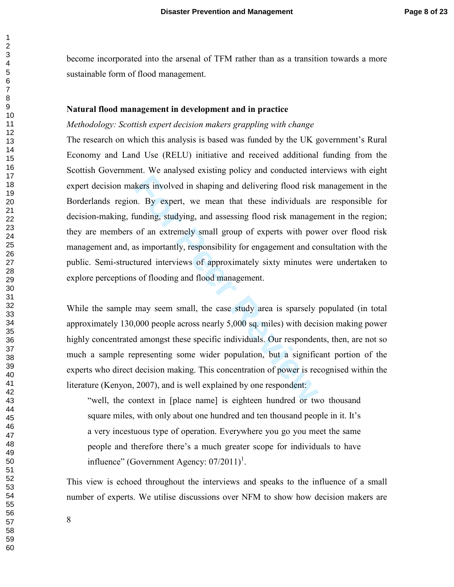become incorporated into the arsenal of TFM rather than as a transition towards a more sustainable form of flood management.

#### **Natural flood management in development and in practice**

#### *Methodology: Scottish expert decision makers grappling with change*

kers involved in shaping and delivering flood risk in. By expert, we mean that these individuals a unding, studying, and assessing flood risk manager of an extremely small group of experts with powns importantly, responsib The research on which this analysis is based was funded by the UK government's Rural Economy and Land Use (RELU) initiative and received additional funding from the Scottish Government. We analysed existing policy and conducted interviews with eight expert decision makers involved in shaping and delivering flood risk management in the Borderlands region. By expert, we mean that these individuals are responsible for decision-making, funding, studying, and assessing flood risk management in the region; they are members of an extremely small group of experts with power over flood risk management and, as importantly, responsibility for engagement and consultation with the public. Semi-structured interviews of approximately sixty minutes were undertaken to explore perceptions of flooding and flood management.

While the sample may seem small, the case study area is sparsely populated (in total approximately 130,000 people across nearly 5,000 sq. miles) with decision making power highly concentrated amongst these specific individuals. Our respondents, then, are not so much a sample representing some wider population, but a significant portion of the experts who direct decision making. This concentration of power is recognised within the literature (Kenyon, 2007), and is well explained by one respondent:

"well, the context in [place name] is eighteen hundred or two thousand square miles, with only about one hundred and ten thousand people in it. It's a very incestuous type of operation. Everywhere you go you meet the same people and therefore there's a much greater scope for individuals to have influence" (Government Agency:  $07/2011$ )<sup>1</sup>.

This view is echoed throughout the interviews and speaks to the influence of a small number of experts. We utilise discussions over NFM to show how decision makers are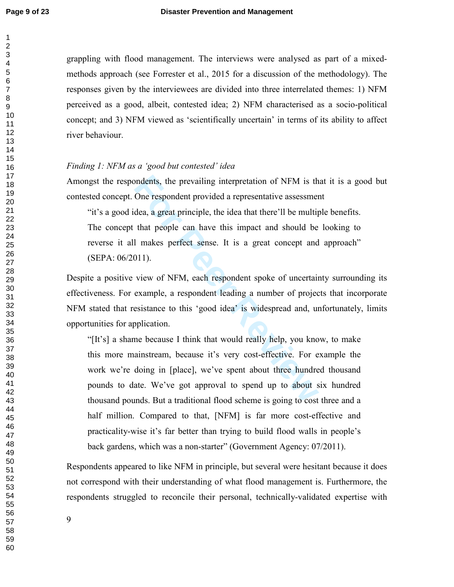$\mathbf{1}$ 

grappling with flood management. The interviews were analysed as part of a mixedmethods approach (see Forrester et al., 2015 for a discussion of the methodology). The responses given by the interviewees are divided into three interrelated themes: 1) NFM perceived as a good, albeit, contested idea; 2) NFM characterised as a socio-political concept; and 3) NFM viewed as 'scientifically uncertain' in terms of its ability to affect river behaviour.

#### *Finding 1: NFM as a 'good but contested' idea*

Amongst the respondents, the prevailing interpretation of NFM is that it is a good but contested concept. One respondent provided a representative assessment

"it's a good idea, a great principle, the idea that there'll be multiple benefits. The concept that people can have this impact and should be looking to reverse it all makes perfect sense. It is a great concept and approach" (SEPA: 06/2011).

Despite a positive view of NFM, each respondent spoke of uncertainty surrounding its effectiveness. For example, a respondent leading a number of projects that incorporate NFM stated that resistance to this 'good idea' is widespread and, unfortunately, limits opportunities for application.

ondents, the prevailing interpretation of NFM is th<br>One respondent provided a representative assessmer<br>dea, a great principle, the idea that there'll be multip<br>that people can have this impact and should be<br>1 makes perfect "[It's] a shame because I think that would really help, you know, to make this more mainstream, because it's very cost-effective. For example the work we're doing in [place], we've spent about three hundred thousand pounds to date. We've got approval to spend up to about six hundred thousand pounds. But a traditional flood scheme is going to cost three and a half million. Compared to that, [NFM] is far more cost-effective and practicality-wise it's far better than trying to build flood walls in people's back gardens, which was a non-starter" (Government Agency: 07/2011).

Respondents appeared to like NFM in principle, but several were hesitant because it does not correspond with their understanding of what flood management is. Furthermore, the respondents struggled to reconcile their personal, technically-validated expertise with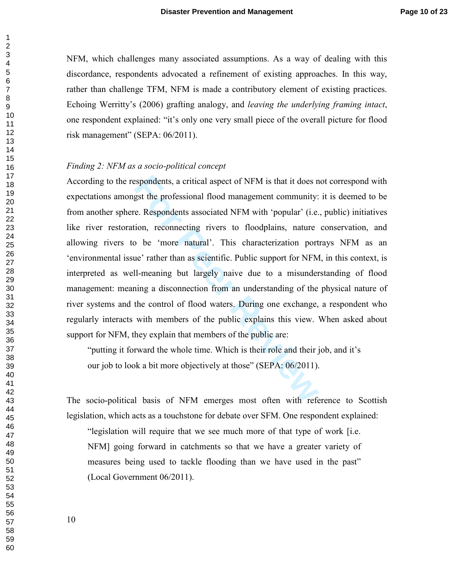NFM, which challenges many associated assumptions. As a way of dealing with this discordance, respondents advocated a refinement of existing approaches. In this way, rather than challenge TFM, NFM is made a contributory element of existing practices. Echoing Werritty's (2006) grafting analogy, and *leaving the underlying framing intact*, one respondent explained: "it's only one very small piece of the overall picture for flood risk management" (SEPA: 06/2011).

#### *Finding 2: NFM as a socio-political concept*

espondents, a critical aspect of NFM is that it does negst the professional flood management community:<br>
Fe. Respondents associated NFM with 'popular' (i.e.<br>
ion, reconnecting rivers to floodplains, nature<br>  $\nu$  be 'more n According to the respondents, a critical aspect of NFM is that it does not correspond with expectations amongst the professional flood management community: it is deemed to be from another sphere. Respondents associated NFM with 'popular' (i.e., public) initiatives like river restoration, reconnecting rivers to floodplains, nature conservation, and allowing rivers to be 'more natural'. This characterization portrays NFM as an 'environmental issue' rather than as scientific. Public support for NFM, in this context, is interpreted as well-meaning but largely naive due to a misunderstanding of flood management: meaning a disconnection from an understanding of the physical nature of river systems and the control of flood waters. During one exchange, a respondent who regularly interacts with members of the public explains this view. When asked about support for NFM, they explain that members of the public are:

"putting it forward the whole time. Which is their role and their job, and it's our job to look a bit more objectively at those" (SEPA: 06/2011).

The socio-political basis of NFM emerges most often with reference to Scottish legislation, which acts as a touchstone for debate over SFM. One respondent explained:

"legislation will require that we see much more of that type of work [i.e. NFM] going forward in catchments so that we have a greater variety of measures being used to tackle flooding than we have used in the past" (Local Government 06/2011).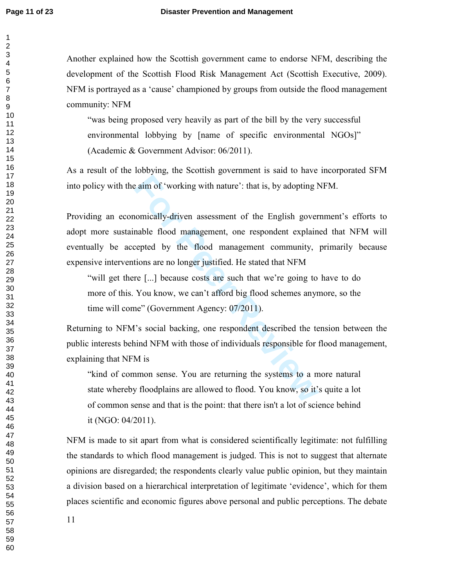Another explained how the Scottish government came to endorse NFM, describing the development of the Scottish Flood Risk Management Act (Scottish Executive, 2009). NFM is portrayed as a 'cause' championed by groups from outside the flood management community: NFM

"was being proposed very heavily as part of the bill by the very successful environmental lobbying by [name of specific environmental NGOs]" (Academic & Government Advisor: 06/2011).

As a result of the lobbying, the Scottish government is said to have incorporated SFM into policy with the aim of 'working with nature': that is, by adopting NFM.

**Example 18 and Solution** 2 and Solvetter and Solvetter and Solvetter and Solvetter and Solvetter and Peer Reviewend Be flood management community, tions are no longer justified. He stated that NFM re [...] because costs a Providing an economically-driven assessment of the English government's efforts to adopt more sustainable flood management, one respondent explained that NFM will eventually be accepted by the flood management community, primarily because expensive interventions are no longer justified. He stated that NFM

"will get there [...] because costs are such that we're going to have to do more of this. You know, we can't afford big flood schemes anymore, so the time will come" (Government Agency: 07/2011).

Returning to NFM's social backing, one respondent described the tension between the public interests behind NFM with those of individuals responsible for flood management, explaining that NFM is

"kind of common sense. You are returning the systems to a more natural state whereby floodplains are allowed to flood. You know, so it's quite a lot of common sense and that is the point: that there isn't a lot of science behind it (NGO: 04/2011).

NFM is made to sit apart from what is considered scientifically legitimate: not fulfilling the standards to which flood management is judged. This is not to suggest that alternate opinions are disregarded; the respondents clearly value public opinion, but they maintain a division based on a hierarchical interpretation of legitimate 'evidence', which for them places scientific and economic figures above personal and public perceptions. The debate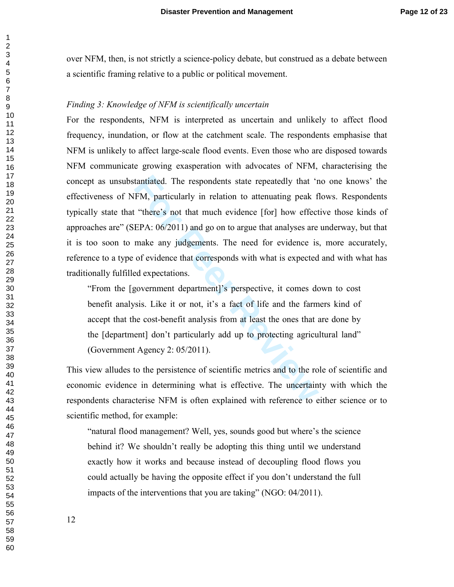over NFM, then, is not strictly a science-policy debate, but construed as a debate between a scientific framing relative to a public or political movement.

#### *Finding 3: Knowledge of NFM is scientifically uncertain*

tantiated. The respondents state repeatedly that 'r<br>FM, particularly in relation to attenuating peak f<br>
"there's not that much evidence [for] how effect<br>
EPA: 06/2011) and go on to argue that analyses are<br>
make any judgeme For the respondents, NFM is interpreted as uncertain and unlikely to affect flood frequency, inundation, or flow at the catchment scale. The respondents emphasise that NFM is unlikely to affect large-scale flood events. Even those who are disposed towards NFM communicate growing exasperation with advocates of NFM, characterising the concept as unsubstantiated. The respondents state repeatedly that 'no one knows' the effectiveness of NFM, particularly in relation to attenuating peak flows. Respondents typically state that "there's not that much evidence [for] how effective those kinds of approaches are" (SEPA: 06/2011) and go on to argue that analyses are underway, but that it is too soon to make any judgements. The need for evidence is, more accurately, reference to a type of evidence that corresponds with what is expected and with what has traditionally fulfilled expectations.

"From the [government department]'s perspective, it comes down to cost benefit analysis. Like it or not, it's a fact of life and the farmers kind of accept that the cost-benefit analysis from at least the ones that are done by the [department] don't particularly add up to protecting agricultural land" (Government Agency 2: 05/2011).

This view alludes to the persistence of scientific metrics and to the role of scientific and economic evidence in determining what is effective. The uncertainty with which the respondents characterise NFM is often explained with reference to either science or to scientific method, for example:

"natural flood management? Well, yes, sounds good but where's the science behind it? We shouldn't really be adopting this thing until we understand exactly how it works and because instead of decoupling flood flows you could actually be having the opposite effect if you don't understand the full impacts of the interventions that you are taking" (NGO: 04/2011).

 $\mathbf{1}$  $\overline{2}$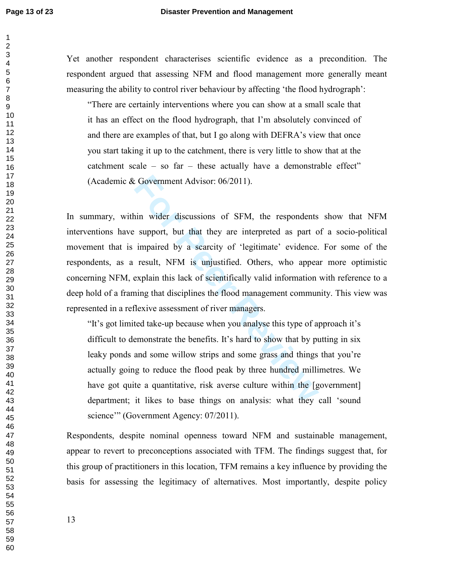Yet another respondent characterises scientific evidence as a precondition. The respondent argued that assessing NFM and flood management more generally meant measuring the ability to control river behaviour by affecting 'the flood hydrograph':

"There are certainly interventions where you can show at a small scale that it has an effect on the flood hydrograph, that I'm absolutely convinced of and there are examples of that, but I go along with DEFRA's view that once you start taking it up to the catchment, there is very little to show that at the catchment scale – so far – these actually have a demonstrable effect" (Academic & Government Advisor: 06/2011).

Example 1 and the discussions of SFM, the respondents<br>
in wider discussions of SFM, the respondents<br>
support, but that they are interpreted as part of<br>
impaired by a searcity of 'legitimate' evidence.<br>
result, NFM is unjus In summary, within wider discussions of SFM, the respondents show that NFM interventions have support, but that they are interpreted as part of a socio-political movement that is impaired by a scarcity of 'legitimate' evidence. For some of the respondents, as a result, NFM is unjustified. Others, who appear more optimistic concerning NFM, explain this lack of scientifically valid information with reference to a deep hold of a framing that disciplines the flood management community. This view was represented in a reflexive assessment of river managers.

"It's got limited take-up because when you analyse this type of approach it's difficult to demonstrate the benefits. It's hard to show that by putting in six leaky ponds and some willow strips and some grass and things that you're actually going to reduce the flood peak by three hundred millimetres. We have got quite a quantitative, risk averse culture within the [government] department; it likes to base things on analysis: what they call 'sound science'" (Government Agency: 07/2011).

Respondents, despite nominal openness toward NFM and sustainable management, appear to revert to preconceptions associated with TFM. The findings suggest that, for this group of practitioners in this location, TFM remains a key influence by providing the basis for assessing the legitimacy of alternatives. Most importantly, despite policy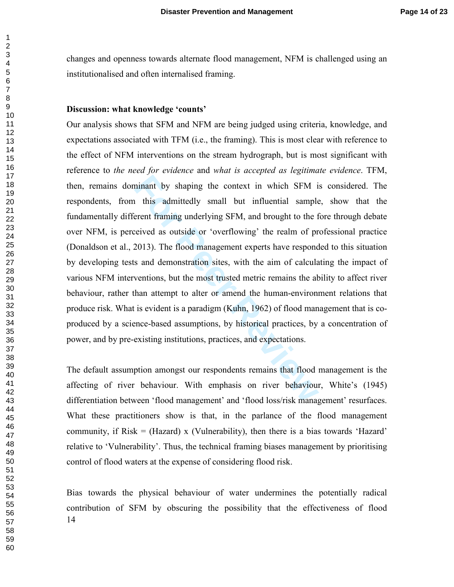changes and openness towards alternate flood management, NFM is challenged using an institutionalised and often internalised framing.

#### **Discussion: what knowledge 'counts'**

minant by shaping the context in which SFM in this admittedly small but influential sample<br>erent framing underlying SFM, and brought to the f<br>eived as outside or 'overflowing' the realm of pr<br>2013). The flood management ex Our analysis shows that SFM and NFM are being judged using criteria, knowledge, and expectations associated with TFM (i.e., the framing). This is most clear with reference to the effect of NFM interventions on the stream hydrograph, but is most significant with reference to *the need for evidence* and *what is accepted as legitimate evidence*. TFM, then, remains dominant by shaping the context in which SFM is considered. The respondents, from this admittedly small but influential sample, show that the fundamentally different framing underlying SFM, and brought to the fore through debate over NFM, is perceived as outside or 'overflowing' the realm of professional practice (Donaldson et al., 2013). The flood management experts have responded to this situation by developing tests and demonstration sites, with the aim of calculating the impact of various NFM interventions, but the most trusted metric remains the ability to affect river behaviour, rather than attempt to alter or amend the human-environment relations that produce risk. What is evident is a paradigm (Kuhn, 1962) of flood management that is coproduced by a science-based assumptions, by historical practices, by a concentration of power, and by pre-existing institutions, practices, and expectations.

The default assumption amongst our respondents remains that flood management is the affecting of river behaviour. With emphasis on river behaviour, White's (1945) differentiation between 'flood management' and 'flood loss/risk management' resurfaces. What these practitioners show is that, in the parlance of the flood management community, if Risk  $=$  (Hazard) x (Vulnerability), then there is a bias towards 'Hazard' relative to 'Vulnerability'. Thus, the technical framing biases management by prioritising control of flood waters at the expense of considering flood risk.

 Bias towards the physical behaviour of water undermines the potentially radical contribution of SFM by obscuring the possibility that the effectiveness of flood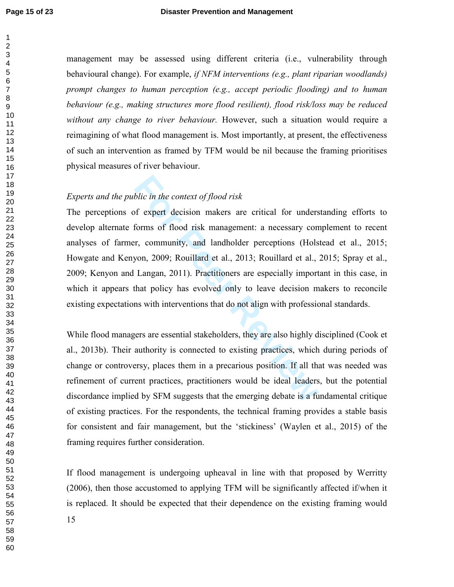$\mathbf{1}$ 

management may be assessed using different criteria (i.e., vulnerability through behavioural change). For example, *if NFM interventions (e.g., plant riparian woodlands) prompt changes to human perception (e.g., accept periodic flooding) and to human behaviour (e.g., making structures more flood resilient), flood risk/loss may be reduced without any change to river behaviour.* However, such a situation would require a reimagining of what flood management is. Most importantly, at present, the effectiveness of such an intervention as framed by TFM would be nil because the framing prioritises physical measures of river behaviour.

# *Experts and the public in the context of flood risk*

*blic in the context of flood risk*<br>of expert decision makers are critical for unders<br>forms of flood risk management: a necessary con<br>r, community, and landholder perceptions (Hols<br>yon, 2009; Rouillard et al., 2013; Rouill The perceptions of expert decision makers are critical for understanding efforts to develop alternate forms of flood risk management: a necessary complement to recent analyses of farmer, community, and landholder perceptions (Holstead et al., 2015; Howgate and Kenyon, 2009; Rouillard et al., 2013; Rouillard et al., 2015; Spray et al., 2009; Kenyon and Langan, 2011). Practitioners are especially important in this case, in which it appears that policy has evolved only to leave decision makers to reconcile existing expectations with interventions that do not align with professional standards.

While flood managers are essential stakeholders, they are also highly disciplined (Cook et al., 2013b). Their authority is connected to existing practices, which during periods of change or controversy, places them in a precarious position. If all that was needed was refinement of current practices, practitioners would be ideal leaders, but the potential discordance implied by SFM suggests that the emerging debate is a fundamental critique of existing practices. For the respondents, the technical framing provides a stable basis for consistent and fair management, but the 'stickiness' (Waylen et al., 2015) of the framing requires further consideration.

If flood management is undergoing upheaval in line with that proposed by Werritty (2006), then those accustomed to applying TFM will be significantly affected if/when it is replaced. It should be expected that their dependence on the existing framing would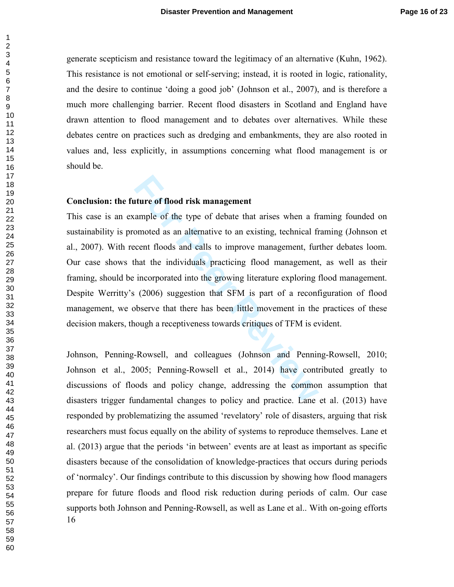generate scepticism and resistance toward the legitimacy of an alternative (Kuhn, 1962). This resistance is not emotional or self-serving; instead, it is rooted in logic, rationality, and the desire to continue 'doing a good job' (Johnson et al., 2007), and is therefore a much more challenging barrier. Recent flood disasters in Scotland and England have drawn attention to flood management and to debates over alternatives. While these debates centre on practices such as dredging and embankments, they are also rooted in values and, less explicitly, in assumptions concerning what flood management is or should be.

# **Conclusion: the future of flood risk management**

**Formal EXEC SET Altertary and Set Exercise State Internative of the type of debate that arises when a fremometed as an alternative to an existing, technical ficent floods and calls to improve management, furthat the indiv** This case is an example of the type of debate that arises when a framing founded on sustainability is promoted as an alternative to an existing, technical framing (Johnson et al., 2007). With recent floods and calls to improve management, further debates loom. Our case shows that the individuals practicing flood management, as well as their framing, should be incorporated into the growing literature exploring flood management. Despite Werritty's (2006) suggestion that SFM is part of a reconfiguration of flood management, we observe that there has been little movement in the practices of these decision makers, though a receptiveness towards critiques of TFM is evident.

 Johnson, Penning-Rowsell, and colleagues (Johnson and Penning-Rowsell, 2010; Johnson et al., 2005; Penning-Rowsell et al., 2014) have contributed greatly to discussions of floods and policy change, addressing the common assumption that disasters trigger fundamental changes to policy and practice. Lane et al. (2013) have responded by problematizing the assumed 'revelatory' role of disasters, arguing that risk researchers must focus equally on the ability of systems to reproduce themselves. Lane et al. (2013) argue that the periods 'in between' events are at least as important as specific disasters because of the consolidation of knowledge-practices that occurs during periods of 'normalcy'. Our findings contribute to this discussion by showing how flood managers prepare for future floods and flood risk reduction during periods of calm. Our case supports both Johnson and Penning-Rowsell, as well as Lane et al.. With on-going efforts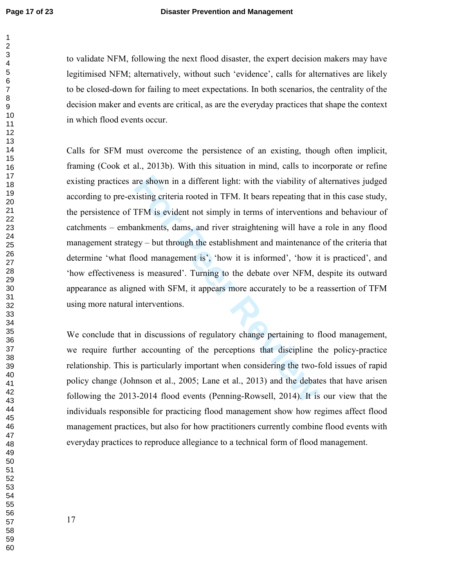to validate NFM, following the next flood disaster, the expert decision makers may have legitimised NFM; alternatively, without such 'evidence', calls for alternatives are likely to be closed-down for failing to meet expectations. In both scenarios, the centrality of the decision maker and events are critical, as are the everyday practices that shape the context in which flood events occur.

are shown in a different light: with the viability of interaction<br>is existing criteria rooted in TFM. It bears repeating that<br>TFM is evident not simply in terms of intervention<br>ankments, dams, and river straightening will Calls for SFM must overcome the persistence of an existing, though often implicit, framing (Cook et al., 2013b). With this situation in mind, calls to incorporate or refine existing practices are shown in a different light: with the viability of alternatives judged according to pre-existing criteria rooted in TFM. It bears repeating that in this case study, the persistence of TFM is evident not simply in terms of interventions and behaviour of catchments – embankments, dams, and river straightening will have a role in any flood management strategy – but through the establishment and maintenance of the criteria that determine 'what flood management is', 'how it is informed', 'how it is practiced', and 'how effectiveness is measured'. Turning to the debate over NFM, despite its outward appearance as aligned with SFM, it appears more accurately to be a reassertion of TFM using more natural interventions.

We conclude that in discussions of regulatory change pertaining to flood management, we require further accounting of the perceptions that discipline the policy-practice relationship. This is particularly important when considering the two-fold issues of rapid policy change (Johnson et al., 2005; Lane et al., 2013) and the debates that have arisen following the 2013-2014 flood events (Penning-Rowsell, 2014). It is our view that the individuals responsible for practicing flood management show how regimes affect flood management practices, but also for how practitioners currently combine flood events with everyday practices to reproduce allegiance to a technical form of flood management.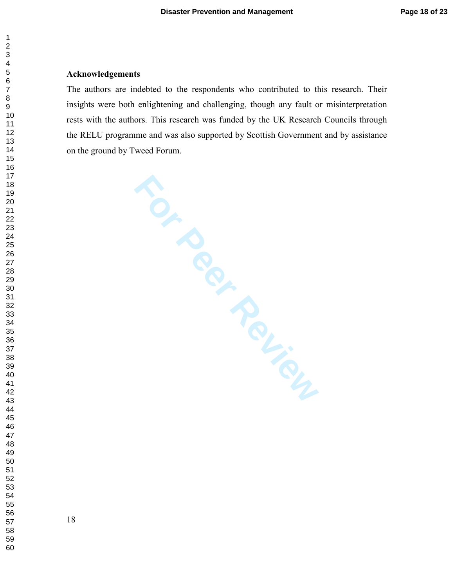#### $\overline{2}$  $\overline{7}$

#### **Acknowledgements**

The authors are indebted to the respondents who contributed to this research. Their insights were both enlightening and challenging, though any fault or misinterpretation rests with the authors. This research was funded by the UK Research Councils through the RELU programme and was also supported by Scottish Government and by assistance on the ground by Tweed Forum.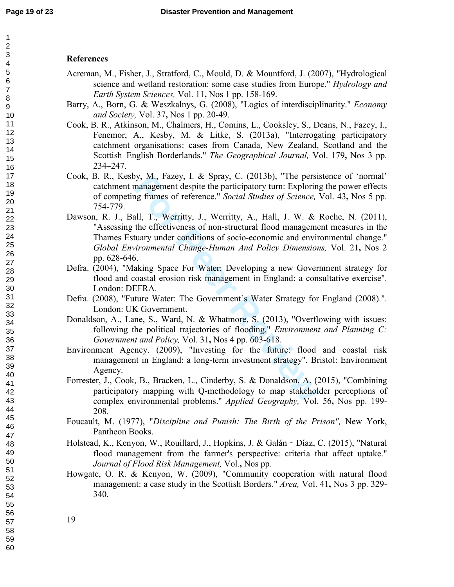#### **References**

- Acreman, M., Fisher, J., Stratford, C., Mould, D. & Mountford, J. (2007), "Hydrological science and wetland restoration: some case studies from Europe." *Hydrology and Earth System Sciences,* Vol. 11 **,** Nos 1 pp. 158-169.
- Barry, A., Born, G. & Weszkalnys, G. (2008), "Logics of interdisciplinarity." *Economy and Society,* Vol. 37 **,** Nos 1 pp. 20-49.
- Cook, B. R., Atkinson, M., Chalmers, H., Comins, L., Cooksley, S., Deans, N., Fazey, I., Fenemor, A., Kesby, M. & Litke, S. (2013a), "Interrogating participatory catchment organisations: cases from Canada, New Zealand, Scotland and the Scottish–English Borderlands." *The Geographical Journal,* Vol. 179 **,** Nos 3 pp. 234–247.
- Cook, B. R., Kesby, M., Fazey, I. & Spray, C. (2013b), "The persistence of 'normal' catchment management despite the participatory turn: Exploring the power effects of competing frames of reference." *Social Studies of Science,* Vol. 43 **,** Nos 5 pp. 754-779.
- by, M., Fazey, I. & Spray, C. (2013b), "The persinanagement despite the participatory turn: Exploring frames of reference." *Social Studies of Science*, all, T., Werritty, J., Werritty, A., Hall, J. W. & the effectiveness Dawson, R. J., Ball, T., Werritty, J., Werritty, A., Hall, J. W. & Roche, N. (2011), "Assessing the effectiveness of non-structural flood management measures in the Thames Estuary under conditions of socio-economic and environmental change." *Global Environmental Change-Human And Policy Dimensions,* Vol. 21 **,** Nos 2 pp. 628-646.
- Defra. (2004), "Making Space For Water: Developing a new Government strategy for flood and coastal erosion risk management in England: a consultative exercise". London: DEFRA.
- Defra. (2008), "Future Water: The Government's Water Strategy for England (2008).". London: UK Government.
- Donaldson, A., Lane, S., Ward, N. & Whatmore, S. (2013), "Overflowing with issues: following the political trajectories of flooding." *Environment and Planning C: Government and Policy,* Vol. 31 **,** Nos 4 pp. 603-618.
- Environment Agency. (2009), "Investing for the future: flood and coastal risk management in England: a long-term investment strategy". Bristol: Environment Agency.
- Forrester, J., Cook, B., Bracken, L., Cinderby, S. & Donaldson, A. (2015), "Combining participatory mapping with Q-methodology to map stakeholder perceptions of complex environmental problems." *Applied Geography,* Vol. 56 **,** Nos pp. 199- 208.
- Foucault, M. (1977), "*Discipline and Punish: The Birth of the Prison",* New York, Pantheon Books.
- Holstead, K., Kenyon, W., Rouillard, J., Hopkins, J. & Galán ‐Díaz, C. (2015), "Natural flood management from the farmer's perspective: criteria that affect uptake." *Journal of Flood Risk Management,* Vol. **,** Nos pp.
- Howgate, O. R. & Kenyon, W. (2009), "Community cooperation with natural flood management: a case study in the Scottish Borders." *Area,* Vol. 41 **,** Nos 3 pp. 329- 340.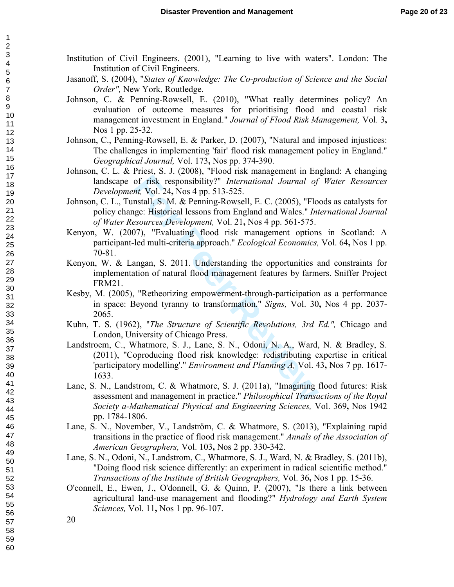- Institution of Civil Engineers. (2001), "Learning to live with waters". London: The Institution of Civil Engineers.
- Jasanoff, S. (2004), "*States of Knowledge: The Co-production of Science and the Social Order",* New York, Routledge.
- Johnson, C. & Penning-Rowsell, E. (2010), "What really determines policy? An evaluation of outcome measures for prioritising flood and coastal risk management investment in England." *Journal of Flood Risk Management,* Vol. 3 **,** Nos 1 pp. 25-32.
- Johnson, C., Penning-Rowsell, E. & Parker, D. (2007), "Natural and imposed injustices: The challenges in implementing 'fair' flood risk management policy in England." *Geographical Journal,* Vol. 173 **,** Nos pp. 374-390.
- Johnson, C. L. & Priest, S. J. (2008), "Flood risk management in England: A changing landscape of risk responsibility?" *International Journal of Water Resources Development,* Vol. 24 **,** Nos 4 pp. 513-525.
- Johnson, C. L., Tunstall, S. M. & Penning-Rowsell, E. C. (2005), "Floods as catalysts for policy change: Historical lessons from England and Wales." *International Journal of Water Resources Development,* Vol. 21 **,** Nos 4 pp. 561-575.
- Kenyon, W. (2007), "Evaluating flood risk management options in Scotland: A participant-led multi-criteria approach." *Ecological Economics,* Vol. 64 **,** Nos 1 pp. 70-81.
- Kenyon, W. & Langan, S. 2011. Understanding the opportunities and constraints for implementation of natural flood management features by farmers. Sniffer Project FRM21.
- Kesby, M. (2005), "Retheorizing empowerment-through-participation as a performance in space: Beyond tyranny to transformation." *Signs,* Vol. 30 **,** Nos 4 pp. 2037- 2065.
- Kuhn, T. S. (1962), "*The Structure of Scientific Revolutions, 3rd Ed.",* Chicago and London, University of Chicago Press.
- of risk responsibility?" *International Journal of*<br>*nt,* Vol. 24, Nos 4 pp. 513-525.<br>nstall, S. M. & Penning-Rowsell, E. C. (2005), "Flo<br>ge: Historical lessons from England and Wales." *Int*<br>*sources Development*, Vol. 21 Landstroem, C., Whatmore, S. J., Lane, S. N., Odoni, N. A., Ward, N. & Bradley, S. (2011), "Coproducing flood risk knowledge: redistributing expertise in critical 'participatory modelling'." *Environment and Planning A,* Vol. 43 **,** Nos 7 pp. 1617- 1633.
- Lane, S. N., Landstrom, C. & Whatmore, S. J. (2011a), "Imagining flood futures: Risk assessment and management in practice." *Philosophical Transactions of the Royal Society a-Mathematical Physical and Engineering Sciences,* Vol. 369 **,** Nos 1942 pp. 1784-1806.
- Lane, S. N., November, V., Landström, C. & Whatmore, S. (2013), "Explaining rapid transitions in the practice of flood risk management." *Annals of the Association of American Geographers,* Vol. 103 **,** Nos 2 pp. 330-342.
- Lane, S. N., Odoni, N., Landstrom, C., Whatmore, S. J., Ward, N. & Bradley, S. (2011b), "Doing flood risk science differently: an experiment in radical scientific method." *Transactions of the Institute of British Geographers,* Vol. 36 **,** Nos 1 pp. 15-36.
- O'connell, E., Ewen, J., O'donnell, G. & Quinn, P. (2007), "Is there a link between agricultural land-use management and flooding?" *Hydrology and Earth System Sciences,* Vol. 11 **,** Nos 1 pp. 96-107.

 $\mathbf{1}$  $\overline{2}$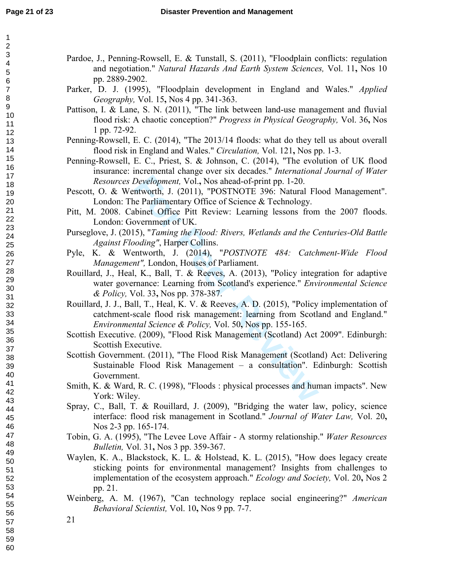$\mathbf{1}$  $\overline{2}$ 3  $\overline{\mathbf{4}}$ 5  $\,6$  $\boldsymbol{7}$  $\bf 8$  $\boldsymbol{9}$ 

| Parker, D. J. (1995), "Floodplain development in England and Wales." Applied<br>Geography, Vol. 15, Nos 4 pp. 341-363.<br>Pattison, I. & Lane, S. N. (2011), "The link between land-use management and fluvial<br>flood risk: A chaotic conception?" Progress in Physical Geography, Vol. 36, Nos<br>1 pp. 72-92.<br>Penning-Rowsell, E. C. (2014), "The 2013/14 floods: what do they tell us about overall<br>flood risk in England and Wales." Circulation, Vol. 121, Nos pp. 1-3.<br>Penning-Rowsell, E. C., Priest, S. & Johnson, C. (2014), "The evolution of UK flood<br>insurance: incremental change over six decades." International Journal of Water<br>Resources Development, Vol., Nos ahead-of-print pp. 1-20.<br>Pescott, O. & Wentworth, J. (2011), "POSTNOTE 396: Natural Flood Management".<br>London: The Parliamentary Office of Science & Technology.<br>Pitt, M. 2008. Cabinet Office Pitt Review: Learning lessons from the 2007 floods.<br>London: Government of UK.<br>Purseglove, J. (2015), "Taming the Flood: Rivers, Wetlands and the Centuries-Old Battle<br>Against Flooding", Harper Collins.<br>Pyle, K. & Wentworth, J. (2014), "POSTNOTE 484: Catchment-Wide Flood<br>Management", London, Houses of Parliament.<br>Rouillard, J., Heal, K., Ball, T. & Reeves, A. (2013), "Policy integration for adaptive<br>water governance: Learning from Scotland's experience." Environmental Science<br>& Policy, Vol. 33, Nos pp. 378-387.<br>Rouillard, J. J., Ball, T., Heal, K. V. & Reeves, A. D. (2015), "Policy implementation of<br>catchment-scale flood risk management: learning from Scotland and England."<br>Environmental Science & Policy, Vol. 50, Nos pp. 155-165.<br>Scottish Executive. (2009), "Flood Risk Management (Scotland) Act 2009". Edinburgh:<br>Scottish Executive.<br>Scottish Government. (2011), "The Flood Risk Management (Scotland) Act: Delivering<br>Sustainable Flood Risk Management - a consultation". Edinburgh: Scottish<br>Government.<br>Smith, K. & Ward, R. C. (1998), "Floods : physical processes and human impacts". New<br>York: Wiley.<br>Spray, C., Ball, T. & Rouillard, J. (2009), "Bridging the water law, policy, science<br>interface: flood risk management in Scotland." Journal of Water Law, Vol. 20,<br>Nos 2-3 pp. 165-174.<br>Tobin, G. A. (1995), "The Levee Love Affair - A stormy relationship." Water Resources<br><i>Bulletin, Vol. 31, Nos 3 pp. 359-367.</i><br>Waylen, K. A., Blackstock, K. L. & Holstead, K. L. (2015), "How does legacy create<br>sticking points for environmental management? Insights from challenges to<br>implementation of the ecosystem approach." Ecology and Society, Vol. 20, Nos 2<br>pp. 21.<br>Weinberg, A. M. (1967), "Can technology replace social engineering?" American<br>Behavioral Scientist, Vol. 10, Nos 9 pp. 7-7.<br>21 | Pardoe, J., Penning-Rowsell, E. & Tunstall, S. (2011), "Floodplain conflicts: regulation<br>and negotiation." Natural Hazards And Earth System Sciences, Vol. 11, Nos 10<br>pp. 2889-2902. |  |
|-------------------------------------------------------------------------------------------------------------------------------------------------------------------------------------------------------------------------------------------------------------------------------------------------------------------------------------------------------------------------------------------------------------------------------------------------------------------------------------------------------------------------------------------------------------------------------------------------------------------------------------------------------------------------------------------------------------------------------------------------------------------------------------------------------------------------------------------------------------------------------------------------------------------------------------------------------------------------------------------------------------------------------------------------------------------------------------------------------------------------------------------------------------------------------------------------------------------------------------------------------------------------------------------------------------------------------------------------------------------------------------------------------------------------------------------------------------------------------------------------------------------------------------------------------------------------------------------------------------------------------------------------------------------------------------------------------------------------------------------------------------------------------------------------------------------------------------------------------------------------------------------------------------------------------------------------------------------------------------------------------------------------------------------------------------------------------------------------------------------------------------------------------------------------------------------------------------------------------------------------------------------------------------------------------------------------------------------------------------------------------------------------------------------------------------------------------------------------------------------------------------------------------------------------------------------------------------------------------------------------------------------------------------------------------------------------------------------------------------------------------------------------------------------------------------------------------------------------------------------------|--------------------------------------------------------------------------------------------------------------------------------------------------------------------------------------------|--|
|                                                                                                                                                                                                                                                                                                                                                                                                                                                                                                                                                                                                                                                                                                                                                                                                                                                                                                                                                                                                                                                                                                                                                                                                                                                                                                                                                                                                                                                                                                                                                                                                                                                                                                                                                                                                                                                                                                                                                                                                                                                                                                                                                                                                                                                                                                                                                                                                                                                                                                                                                                                                                                                                                                                                                                                                                                                                         |                                                                                                                                                                                            |  |
|                                                                                                                                                                                                                                                                                                                                                                                                                                                                                                                                                                                                                                                                                                                                                                                                                                                                                                                                                                                                                                                                                                                                                                                                                                                                                                                                                                                                                                                                                                                                                                                                                                                                                                                                                                                                                                                                                                                                                                                                                                                                                                                                                                                                                                                                                                                                                                                                                                                                                                                                                                                                                                                                                                                                                                                                                                                                         |                                                                                                                                                                                            |  |
|                                                                                                                                                                                                                                                                                                                                                                                                                                                                                                                                                                                                                                                                                                                                                                                                                                                                                                                                                                                                                                                                                                                                                                                                                                                                                                                                                                                                                                                                                                                                                                                                                                                                                                                                                                                                                                                                                                                                                                                                                                                                                                                                                                                                                                                                                                                                                                                                                                                                                                                                                                                                                                                                                                                                                                                                                                                                         |                                                                                                                                                                                            |  |
|                                                                                                                                                                                                                                                                                                                                                                                                                                                                                                                                                                                                                                                                                                                                                                                                                                                                                                                                                                                                                                                                                                                                                                                                                                                                                                                                                                                                                                                                                                                                                                                                                                                                                                                                                                                                                                                                                                                                                                                                                                                                                                                                                                                                                                                                                                                                                                                                                                                                                                                                                                                                                                                                                                                                                                                                                                                                         |                                                                                                                                                                                            |  |
|                                                                                                                                                                                                                                                                                                                                                                                                                                                                                                                                                                                                                                                                                                                                                                                                                                                                                                                                                                                                                                                                                                                                                                                                                                                                                                                                                                                                                                                                                                                                                                                                                                                                                                                                                                                                                                                                                                                                                                                                                                                                                                                                                                                                                                                                                                                                                                                                                                                                                                                                                                                                                                                                                                                                                                                                                                                                         |                                                                                                                                                                                            |  |
|                                                                                                                                                                                                                                                                                                                                                                                                                                                                                                                                                                                                                                                                                                                                                                                                                                                                                                                                                                                                                                                                                                                                                                                                                                                                                                                                                                                                                                                                                                                                                                                                                                                                                                                                                                                                                                                                                                                                                                                                                                                                                                                                                                                                                                                                                                                                                                                                                                                                                                                                                                                                                                                                                                                                                                                                                                                                         |                                                                                                                                                                                            |  |
|                                                                                                                                                                                                                                                                                                                                                                                                                                                                                                                                                                                                                                                                                                                                                                                                                                                                                                                                                                                                                                                                                                                                                                                                                                                                                                                                                                                                                                                                                                                                                                                                                                                                                                                                                                                                                                                                                                                                                                                                                                                                                                                                                                                                                                                                                                                                                                                                                                                                                                                                                                                                                                                                                                                                                                                                                                                                         |                                                                                                                                                                                            |  |
|                                                                                                                                                                                                                                                                                                                                                                                                                                                                                                                                                                                                                                                                                                                                                                                                                                                                                                                                                                                                                                                                                                                                                                                                                                                                                                                                                                                                                                                                                                                                                                                                                                                                                                                                                                                                                                                                                                                                                                                                                                                                                                                                                                                                                                                                                                                                                                                                                                                                                                                                                                                                                                                                                                                                                                                                                                                                         |                                                                                                                                                                                            |  |
|                                                                                                                                                                                                                                                                                                                                                                                                                                                                                                                                                                                                                                                                                                                                                                                                                                                                                                                                                                                                                                                                                                                                                                                                                                                                                                                                                                                                                                                                                                                                                                                                                                                                                                                                                                                                                                                                                                                                                                                                                                                                                                                                                                                                                                                                                                                                                                                                                                                                                                                                                                                                                                                                                                                                                                                                                                                                         |                                                                                                                                                                                            |  |
|                                                                                                                                                                                                                                                                                                                                                                                                                                                                                                                                                                                                                                                                                                                                                                                                                                                                                                                                                                                                                                                                                                                                                                                                                                                                                                                                                                                                                                                                                                                                                                                                                                                                                                                                                                                                                                                                                                                                                                                                                                                                                                                                                                                                                                                                                                                                                                                                                                                                                                                                                                                                                                                                                                                                                                                                                                                                         |                                                                                                                                                                                            |  |
|                                                                                                                                                                                                                                                                                                                                                                                                                                                                                                                                                                                                                                                                                                                                                                                                                                                                                                                                                                                                                                                                                                                                                                                                                                                                                                                                                                                                                                                                                                                                                                                                                                                                                                                                                                                                                                                                                                                                                                                                                                                                                                                                                                                                                                                                                                                                                                                                                                                                                                                                                                                                                                                                                                                                                                                                                                                                         |                                                                                                                                                                                            |  |
|                                                                                                                                                                                                                                                                                                                                                                                                                                                                                                                                                                                                                                                                                                                                                                                                                                                                                                                                                                                                                                                                                                                                                                                                                                                                                                                                                                                                                                                                                                                                                                                                                                                                                                                                                                                                                                                                                                                                                                                                                                                                                                                                                                                                                                                                                                                                                                                                                                                                                                                                                                                                                                                                                                                                                                                                                                                                         |                                                                                                                                                                                            |  |
|                                                                                                                                                                                                                                                                                                                                                                                                                                                                                                                                                                                                                                                                                                                                                                                                                                                                                                                                                                                                                                                                                                                                                                                                                                                                                                                                                                                                                                                                                                                                                                                                                                                                                                                                                                                                                                                                                                                                                                                                                                                                                                                                                                                                                                                                                                                                                                                                                                                                                                                                                                                                                                                                                                                                                                                                                                                                         |                                                                                                                                                                                            |  |
|                                                                                                                                                                                                                                                                                                                                                                                                                                                                                                                                                                                                                                                                                                                                                                                                                                                                                                                                                                                                                                                                                                                                                                                                                                                                                                                                                                                                                                                                                                                                                                                                                                                                                                                                                                                                                                                                                                                                                                                                                                                                                                                                                                                                                                                                                                                                                                                                                                                                                                                                                                                                                                                                                                                                                                                                                                                                         |                                                                                                                                                                                            |  |
|                                                                                                                                                                                                                                                                                                                                                                                                                                                                                                                                                                                                                                                                                                                                                                                                                                                                                                                                                                                                                                                                                                                                                                                                                                                                                                                                                                                                                                                                                                                                                                                                                                                                                                                                                                                                                                                                                                                                                                                                                                                                                                                                                                                                                                                                                                                                                                                                                                                                                                                                                                                                                                                                                                                                                                                                                                                                         |                                                                                                                                                                                            |  |
|                                                                                                                                                                                                                                                                                                                                                                                                                                                                                                                                                                                                                                                                                                                                                                                                                                                                                                                                                                                                                                                                                                                                                                                                                                                                                                                                                                                                                                                                                                                                                                                                                                                                                                                                                                                                                                                                                                                                                                                                                                                                                                                                                                                                                                                                                                                                                                                                                                                                                                                                                                                                                                                                                                                                                                                                                                                                         |                                                                                                                                                                                            |  |
|                                                                                                                                                                                                                                                                                                                                                                                                                                                                                                                                                                                                                                                                                                                                                                                                                                                                                                                                                                                                                                                                                                                                                                                                                                                                                                                                                                                                                                                                                                                                                                                                                                                                                                                                                                                                                                                                                                                                                                                                                                                                                                                                                                                                                                                                                                                                                                                                                                                                                                                                                                                                                                                                                                                                                                                                                                                                         |                                                                                                                                                                                            |  |
|                                                                                                                                                                                                                                                                                                                                                                                                                                                                                                                                                                                                                                                                                                                                                                                                                                                                                                                                                                                                                                                                                                                                                                                                                                                                                                                                                                                                                                                                                                                                                                                                                                                                                                                                                                                                                                                                                                                                                                                                                                                                                                                                                                                                                                                                                                                                                                                                                                                                                                                                                                                                                                                                                                                                                                                                                                                                         |                                                                                                                                                                                            |  |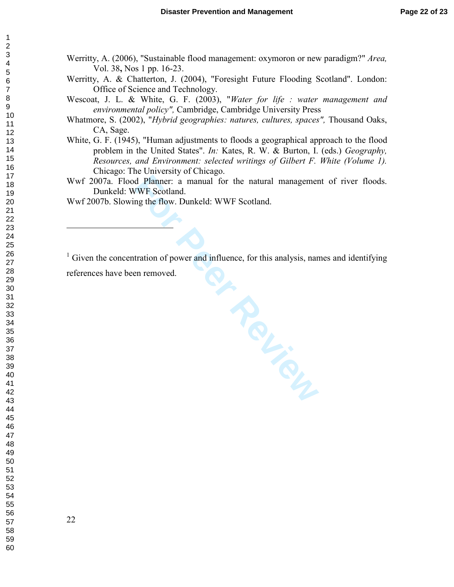- Werritty, A. (2006), "Sustainable flood management: oxymoron or new paradigm?" *Area,* Vol. 38 **,** Nos 1 pp. 16-23.
- Werritty, A. & Chatterton, J. (2004), "Foresight Future Flooding Scotland". London: Office of Science and Technology.
- Wescoat, J. L. & White, G. F. (2003), "*Water for life : water management and environmental policy",* Cambridge, Cambridge University Press
- Whatmore, S. (2002), "*Hybrid geographies: natures, cultures, spaces",* Thousand Oaks, CA, Sage.
- White, G. F. (1945), "Human adjustments to floods a geographical approach to the flood problem in the United States". *In:* Kates, R. W. & Burton, I. (eds.) *Geography, Resources, and Environment: selected writings of Gilbert F. White (Volume 1).* Chicago: The University of Chicago.
- Wwf 2007a. Flood Planner: a manual for the natural management of river floods. Dunkeld: WWF Scotland.

Wwf 2007b. Slowing the flow. Dunkeld: WWF Scotland.

<sup>1</sup> Given the concentration of power and influence, for this analysis, names and identifying

references have been removed.

 $\overline{a}$